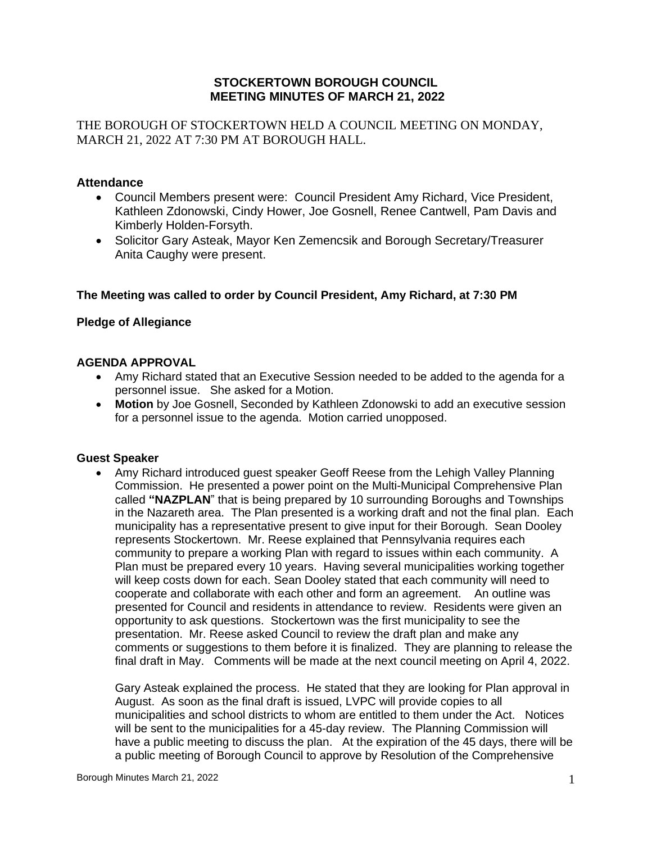#### **STOCKERTOWN BOROUGH COUNCIL MEETING MINUTES OF MARCH 21, 2022**

THE BOROUGH OF STOCKERTOWN HELD A COUNCIL MEETING ON MONDAY, MARCH 21, 2022 AT 7:30 PM AT BOROUGH HALL.

## **Attendance**

- Council Members present were: Council President Amy Richard, Vice President, Kathleen Zdonowski, Cindy Hower, Joe Gosnell, Renee Cantwell, Pam Davis and Kimberly Holden-Forsyth.
- Solicitor Gary Asteak, Mayor Ken Zemencsik and Borough Secretary/Treasurer Anita Caughy were present.

## **The Meeting was called to order by Council President, Amy Richard, at 7:30 PM**

## **Pledge of Allegiance**

#### **AGENDA APPROVAL**

- Amy Richard stated that an Executive Session needed to be added to the agenda for a personnel issue. She asked for a Motion.
- **Motion** by Joe Gosnell, Seconded by Kathleen Zdonowski to add an executive session for a personnel issue to the agenda. Motion carried unopposed.

#### **Guest Speaker**

• Amy Richard introduced guest speaker Geoff Reese from the Lehigh Valley Planning Commission. He presented a power point on the Multi-Municipal Comprehensive Plan called **"NAZPLAN**" that is being prepared by 10 surrounding Boroughs and Townships in the Nazareth area. The Plan presented is a working draft and not the final plan. Each municipality has a representative present to give input for their Borough. Sean Dooley represents Stockertown. Mr. Reese explained that Pennsylvania requires each community to prepare a working Plan with regard to issues within each community. A Plan must be prepared every 10 years. Having several municipalities working together will keep costs down for each. Sean Dooley stated that each community will need to cooperate and collaborate with each other and form an agreement. An outline was presented for Council and residents in attendance to review. Residents were given an opportunity to ask questions. Stockertown was the first municipality to see the presentation. Mr. Reese asked Council to review the draft plan and make any comments or suggestions to them before it is finalized. They are planning to release the final draft in May. Comments will be made at the next council meeting on April 4, 2022.

Gary Asteak explained the process. He stated that they are looking for Plan approval in August. As soon as the final draft is issued, LVPC will provide copies to all municipalities and school districts to whom are entitled to them under the Act. Notices will be sent to the municipalities for a 45-day review. The Planning Commission will have a public meeting to discuss the plan. At the expiration of the 45 days, there will be a public meeting of Borough Council to approve by Resolution of the Comprehensive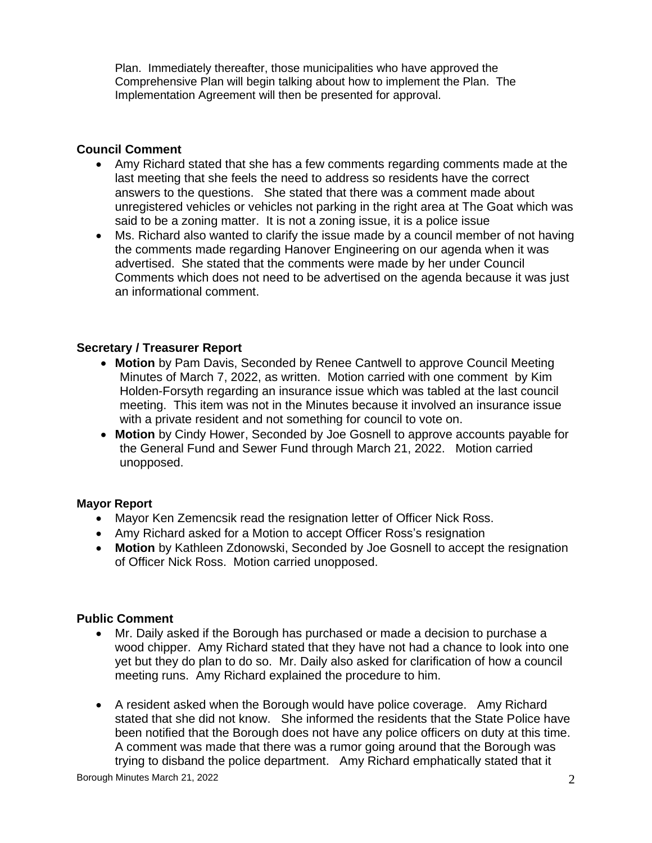Plan. Immediately thereafter, those municipalities who have approved the Comprehensive Plan will begin talking about how to implement the Plan. The Implementation Agreement will then be presented for approval.

# **Council Comment**

- Amy Richard stated that she has a few comments regarding comments made at the last meeting that she feels the need to address so residents have the correct answers to the questions. She stated that there was a comment made about unregistered vehicles or vehicles not parking in the right area at The Goat which was said to be a zoning matter. It is not a zoning issue, it is a police issue
- Ms. Richard also wanted to clarify the issue made by a council member of not having the comments made regarding Hanover Engineering on our agenda when it was advertised. She stated that the comments were made by her under Council Comments which does not need to be advertised on the agenda because it was just an informational comment.

# **Secretary / Treasurer Report**

- **Motion** by Pam Davis, Seconded by Renee Cantwell to approve Council Meeting Minutes of March 7, 2022, as written. Motion carried with one comment by Kim Holden-Forsyth regarding an insurance issue which was tabled at the last council meeting. This item was not in the Minutes because it involved an insurance issue with a private resident and not something for council to vote on.
- **Motion** by Cindy Hower, Seconded by Joe Gosnell to approve accounts payable for the General Fund and Sewer Fund through March 21, 2022. Motion carried unopposed.

# **Mayor Report**

- Mayor Ken Zemencsik read the resignation letter of Officer Nick Ross.
- Amy Richard asked for a Motion to accept Officer Ross's resignation
- **Motion** by Kathleen Zdonowski, Seconded by Joe Gosnell to accept the resignation of Officer Nick Ross. Motion carried unopposed.

# **Public Comment**

- Mr. Daily asked if the Borough has purchased or made a decision to purchase a wood chipper. Amy Richard stated that they have not had a chance to look into one yet but they do plan to do so. Mr. Daily also asked for clarification of how a council meeting runs. Amy Richard explained the procedure to him.
- A resident asked when the Borough would have police coverage. Amy Richard stated that she did not know. She informed the residents that the State Police have been notified that the Borough does not have any police officers on duty at this time. A comment was made that there was a rumor going around that the Borough was trying to disband the police department. Amy Richard emphatically stated that it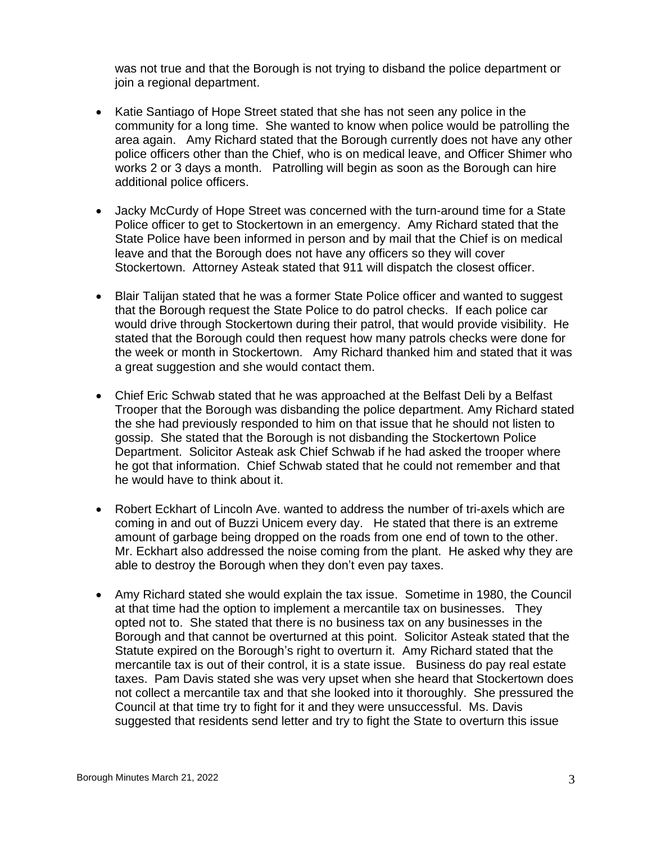was not true and that the Borough is not trying to disband the police department or join a regional department.

- Katie Santiago of Hope Street stated that she has not seen any police in the community for a long time. She wanted to know when police would be patrolling the area again. Amy Richard stated that the Borough currently does not have any other police officers other than the Chief, who is on medical leave, and Officer Shimer who works 2 or 3 days a month. Patrolling will begin as soon as the Borough can hire additional police officers.
- Jacky McCurdy of Hope Street was concerned with the turn-around time for a State Police officer to get to Stockertown in an emergency. Amy Richard stated that the State Police have been informed in person and by mail that the Chief is on medical leave and that the Borough does not have any officers so they will cover Stockertown. Attorney Asteak stated that 911 will dispatch the closest officer.
- Blair Talijan stated that he was a former State Police officer and wanted to suggest that the Borough request the State Police to do patrol checks. If each police car would drive through Stockertown during their patrol, that would provide visibility. He stated that the Borough could then request how many patrols checks were done for the week or month in Stockertown. Amy Richard thanked him and stated that it was a great suggestion and she would contact them.
- Chief Eric Schwab stated that he was approached at the Belfast Deli by a Belfast Trooper that the Borough was disbanding the police department. Amy Richard stated the she had previously responded to him on that issue that he should not listen to gossip. She stated that the Borough is not disbanding the Stockertown Police Department. Solicitor Asteak ask Chief Schwab if he had asked the trooper where he got that information. Chief Schwab stated that he could not remember and that he would have to think about it.
- Robert Eckhart of Lincoln Ave. wanted to address the number of tri-axels which are coming in and out of Buzzi Unicem every day. He stated that there is an extreme amount of garbage being dropped on the roads from one end of town to the other. Mr. Eckhart also addressed the noise coming from the plant. He asked why they are able to destroy the Borough when they don't even pay taxes.
- Amy Richard stated she would explain the tax issue. Sometime in 1980, the Council at that time had the option to implement a mercantile tax on businesses. They opted not to. She stated that there is no business tax on any businesses in the Borough and that cannot be overturned at this point. Solicitor Asteak stated that the Statute expired on the Borough's right to overturn it. Amy Richard stated that the mercantile tax is out of their control, it is a state issue. Business do pay real estate taxes. Pam Davis stated she was very upset when she heard that Stockertown does not collect a mercantile tax and that she looked into it thoroughly. She pressured the Council at that time try to fight for it and they were unsuccessful. Ms. Davis suggested that residents send letter and try to fight the State to overturn this issue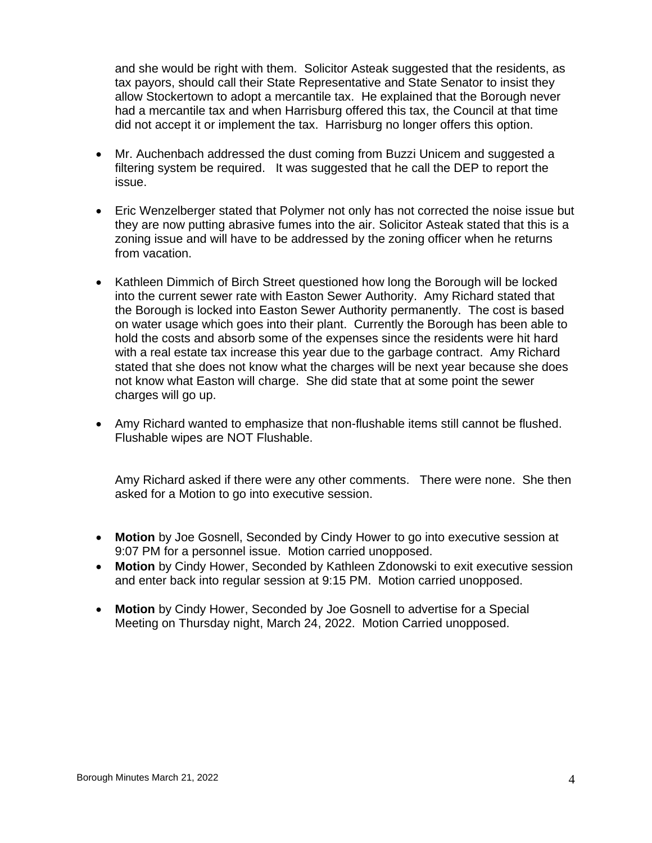and she would be right with them. Solicitor Asteak suggested that the residents, as tax payors, should call their State Representative and State Senator to insist they allow Stockertown to adopt a mercantile tax. He explained that the Borough never had a mercantile tax and when Harrisburg offered this tax, the Council at that time did not accept it or implement the tax. Harrisburg no longer offers this option.

- Mr. Auchenbach addressed the dust coming from Buzzi Unicem and suggested a filtering system be required. It was suggested that he call the DEP to report the issue.
- Eric Wenzelberger stated that Polymer not only has not corrected the noise issue but they are now putting abrasive fumes into the air. Solicitor Asteak stated that this is a zoning issue and will have to be addressed by the zoning officer when he returns from vacation.
- Kathleen Dimmich of Birch Street questioned how long the Borough will be locked into the current sewer rate with Easton Sewer Authority. Amy Richard stated that the Borough is locked into Easton Sewer Authority permanently. The cost is based on water usage which goes into their plant. Currently the Borough has been able to hold the costs and absorb some of the expenses since the residents were hit hard with a real estate tax increase this year due to the garbage contract. Amy Richard stated that she does not know what the charges will be next year because she does not know what Easton will charge. She did state that at some point the sewer charges will go up.
- Amy Richard wanted to emphasize that non-flushable items still cannot be flushed. Flushable wipes are NOT Flushable.

Amy Richard asked if there were any other comments. There were none. She then asked for a Motion to go into executive session.

- **Motion** by Joe Gosnell, Seconded by Cindy Hower to go into executive session at 9:07 PM for a personnel issue. Motion carried unopposed.
- **Motion** by Cindy Hower, Seconded by Kathleen Zdonowski to exit executive session and enter back into regular session at 9:15 PM. Motion carried unopposed.
- **Motion** by Cindy Hower, Seconded by Joe Gosnell to advertise for a Special Meeting on Thursday night, March 24, 2022. Motion Carried unopposed.